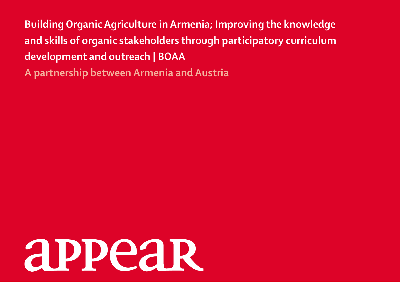**Building Organic Agriculture in Armenia; Improving the knowledge and skills of organic stakeholders through participatory curriculum development and outreach | BOAA A partnership between Armenia and Austria**

**APPeaR**